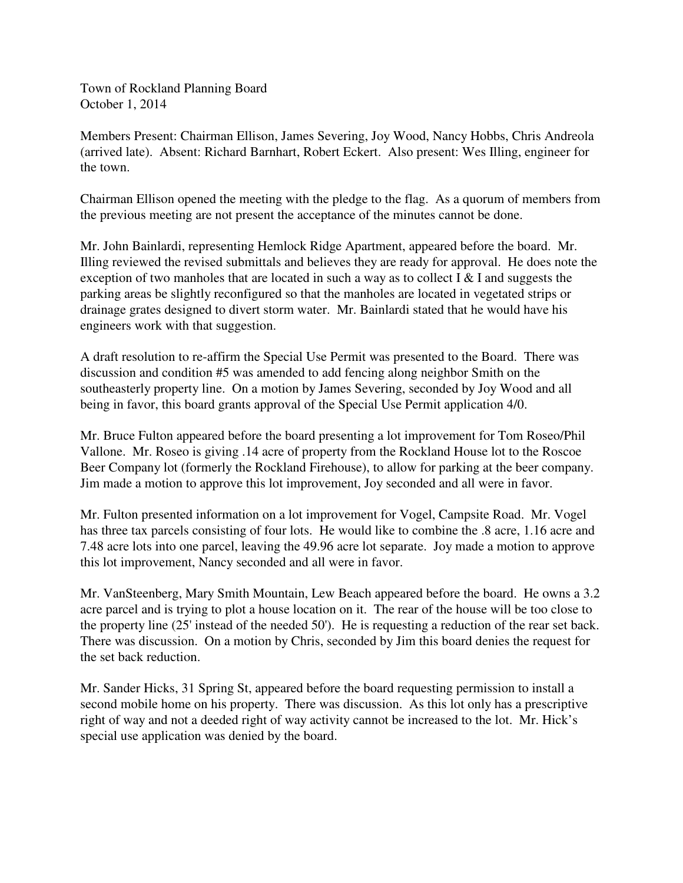Town of Rockland Planning Board October 1, 2014

Members Present: Chairman Ellison, James Severing, Joy Wood, Nancy Hobbs, Chris Andreola (arrived late). Absent: Richard Barnhart, Robert Eckert. Also present: Wes Illing, engineer for the town.

Chairman Ellison opened the meeting with the pledge to the flag. As a quorum of members from the previous meeting are not present the acceptance of the minutes cannot be done.

Mr. John Bainlardi, representing Hemlock Ridge Apartment, appeared before the board. Mr. Illing reviewed the revised submittals and believes they are ready for approval. He does note the exception of two manholes that are located in such a way as to collect  $I \& I$  and suggests the parking areas be slightly reconfigured so that the manholes are located in vegetated strips or drainage grates designed to divert storm water. Mr. Bainlardi stated that he would have his engineers work with that suggestion.

A draft resolution to re-affirm the Special Use Permit was presented to the Board. There was discussion and condition #5 was amended to add fencing along neighbor Smith on the southeasterly property line. On a motion by James Severing, seconded by Joy Wood and all being in favor, this board grants approval of the Special Use Permit application 4/0.

Mr. Bruce Fulton appeared before the board presenting a lot improvement for Tom Roseo/Phil Vallone. Mr. Roseo is giving .14 acre of property from the Rockland House lot to the Roscoe Beer Company lot (formerly the Rockland Firehouse), to allow for parking at the beer company. Jim made a motion to approve this lot improvement, Joy seconded and all were in favor.

Mr. Fulton presented information on a lot improvement for Vogel, Campsite Road. Mr. Vogel has three tax parcels consisting of four lots. He would like to combine the .8 acre, 1.16 acre and 7.48 acre lots into one parcel, leaving the 49.96 acre lot separate. Joy made a motion to approve this lot improvement, Nancy seconded and all were in favor.

Mr. VanSteenberg, Mary Smith Mountain, Lew Beach appeared before the board. He owns a 3.2 acre parcel and is trying to plot a house location on it. The rear of the house will be too close to the property line (25' instead of the needed 50'). He is requesting a reduction of the rear set back. There was discussion. On a motion by Chris, seconded by Jim this board denies the request for the set back reduction.

Mr. Sander Hicks, 31 Spring St, appeared before the board requesting permission to install a second mobile home on his property. There was discussion. As this lot only has a prescriptive right of way and not a deeded right of way activity cannot be increased to the lot. Mr. Hick's special use application was denied by the board.